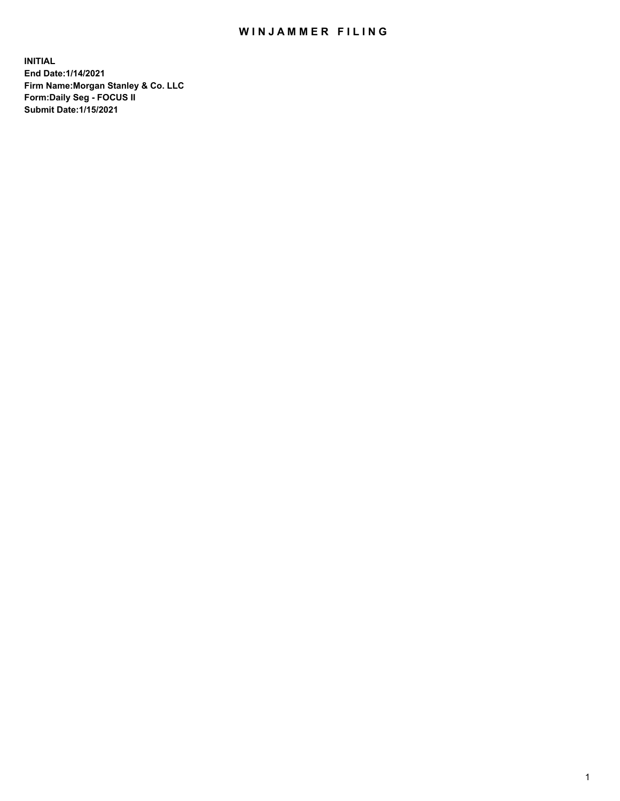## WIN JAMMER FILING

**INITIAL End Date:1/14/2021 Firm Name:Morgan Stanley & Co. LLC Form:Daily Seg - FOCUS II Submit Date:1/15/2021**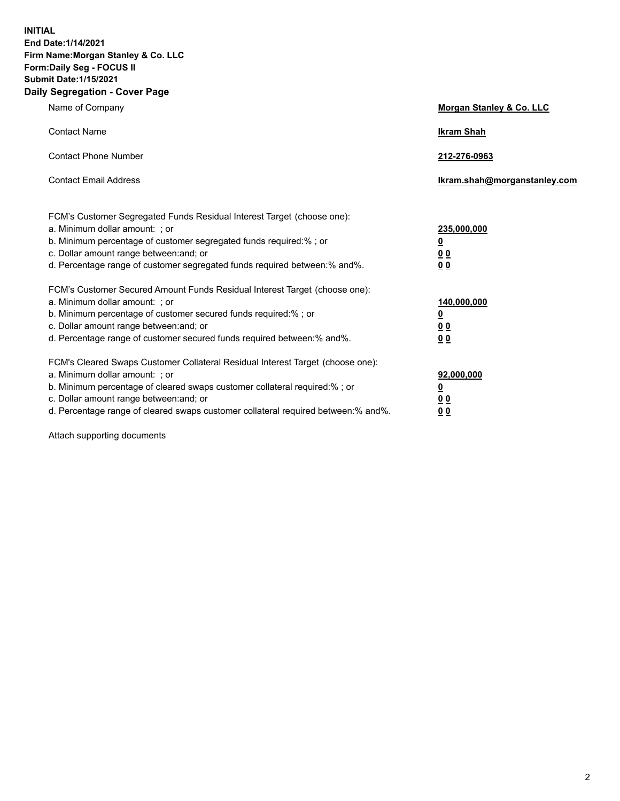**INITIAL End Date:1/14/2021 Firm Name:Morgan Stanley & Co. LLC Form:Daily Seg - FOCUS II Submit Date:1/15/2021 Daily Segregation - Cover Page**

| Name of Company                                                                                                                                                                                                                                                                                                                | <b>Morgan Stanley &amp; Co. LLC</b>                    |
|--------------------------------------------------------------------------------------------------------------------------------------------------------------------------------------------------------------------------------------------------------------------------------------------------------------------------------|--------------------------------------------------------|
| <b>Contact Name</b>                                                                                                                                                                                                                                                                                                            | <b>Ikram Shah</b>                                      |
| <b>Contact Phone Number</b>                                                                                                                                                                                                                                                                                                    | 212-276-0963                                           |
| <b>Contact Email Address</b>                                                                                                                                                                                                                                                                                                   | Ikram.shah@morganstanley.com                           |
| FCM's Customer Segregated Funds Residual Interest Target (choose one):<br>a. Minimum dollar amount: ; or<br>b. Minimum percentage of customer segregated funds required:% ; or<br>c. Dollar amount range between: and; or<br>d. Percentage range of customer segregated funds required between:% and%.                         | 235,000,000<br><u>0</u><br>0 Q<br>0 Q                  |
| FCM's Customer Secured Amount Funds Residual Interest Target (choose one):<br>a. Minimum dollar amount: ; or<br>b. Minimum percentage of customer secured funds required:% ; or<br>c. Dollar amount range between: and; or<br>d. Percentage range of customer secured funds required between: % and %.                         | 140,000,000<br><u>0</u><br><u>00</u><br>0 <sub>0</sub> |
| FCM's Cleared Swaps Customer Collateral Residual Interest Target (choose one):<br>a. Minimum dollar amount: ; or<br>b. Minimum percentage of cleared swaps customer collateral required:% ; or<br>c. Dollar amount range between: and; or<br>d. Percentage range of cleared swaps customer collateral required between:% and%. | 92,000,000<br><u>0</u><br>0 Q<br>00                    |

Attach supporting documents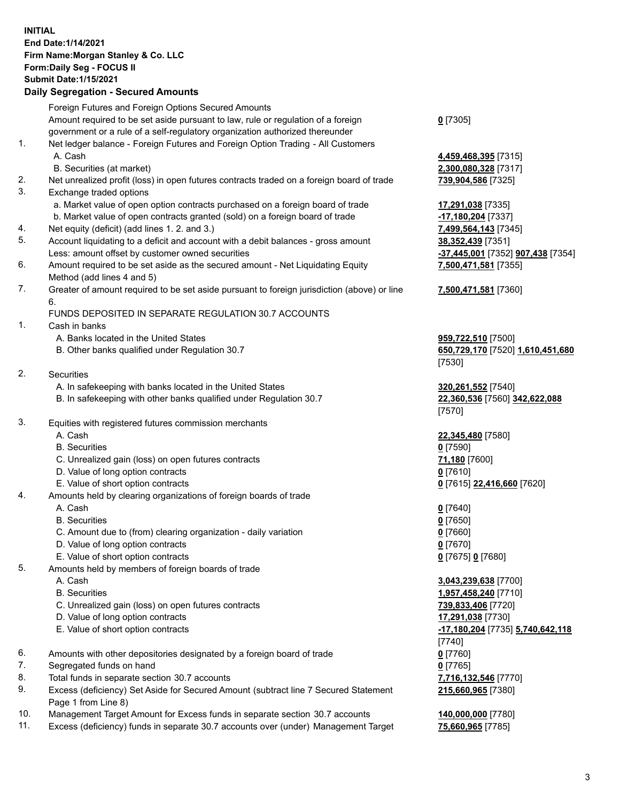## **INITIAL End Date:1/14/2021 Firm Name:Morgan Stanley & Co. LLC Form:Daily Seg - FOCUS II Submit Date:1/15/2021**

## **Daily Segregation - Secured Amounts**

Foreign Futures and Foreign Options Secured Amounts Amount required to be set aside pursuant to law, rule or regulation of a foreign government or a rule of a self-regulatory organization authorized thereunder 1. Net ledger balance - Foreign Futures and Foreign Option Trading - All Customers A. Cash **4,459,468,395** [7315] B. Securities (at market) **2,300,080,328** [7317] 2. Net unrealized profit (loss) in open futures contracts traded on a foreign board of trade **739,904,586** [7325] 3. Exchange traded options a. Market value of open option contracts purchased on a foreign board of trade **17,291,038** [7335] b. Market value of open contracts granted (sold) on a foreign board of trade **-17,180,204** [7337] 4. Net equity (deficit) (add lines 1. 2. and 3.) **7,499,564,143** [7345] 5. Account liquidating to a deficit and account with a debit balances - gross amount **38,352,439** [7351] Less: amount offset by customer owned securities **-37,445,001** [7352] **907,438** [7354] 6. Amount required to be set aside as the secured amount - Net Liquidating Equity Method (add lines 4 and 5) 7. Greater of amount required to be set aside pursuant to foreign jurisdiction (above) or line 6. FUNDS DEPOSITED IN SEPARATE REGULATION 30.7 ACCOUNTS 1. Cash in banks A. Banks located in the United States **959,722,510** [7500] B. Other banks qualified under Regulation 30.7 **650,729,170** [7520] **1,610,451,680** 2. Securities A. In safekeeping with banks located in the United States **320,261,552** [7540] B. In safekeeping with other banks qualified under Regulation 30.7 **22,360,536** [7560] **342,622,088** 3. Equities with registered futures commission merchants A. Cash **22,345,480** [7580] B. Securities **0** [7590] C. Unrealized gain (loss) on open futures contracts **71,180** [7600] D. Value of long option contracts **0** [7610] E. Value of short option contracts **0** [7615] **22,416,660** [7620] 4. Amounts held by clearing organizations of foreign boards of trade A. Cash **0** [7640] B. Securities **0** [7650] C. Amount due to (from) clearing organization - daily variation **0** [7660] D. Value of long option contracts **0** [7670] E. Value of short option contracts **0** [7675] **0** [7680] 5. Amounts held by members of foreign boards of trade A. Cash **3,043,239,638** [7700] B. Securities **1,957,458,240** [7710] C. Unrealized gain (loss) on open futures contracts **739,833,406** [7720] D. Value of long option contracts **17,291,038** [7730] E. Value of short option contracts **-17,180,204** [7735] **5,740,642,118** 6. Amounts with other depositories designated by a foreign board of trade **0** [7760] 7. Segregated funds on hand **0** [7765] 8. Total funds in separate section 30.7 accounts **7,716,132,546** [7770]

- 9. Excess (deficiency) Set Aside for Secured Amount (subtract line 7 Secured Statement Page 1 from Line 8)
- 10. Management Target Amount for Excess funds in separate section 30.7 accounts **140,000,000** [7780]
- 11. Excess (deficiency) funds in separate 30.7 accounts over (under) Management Target **75,660,965** [7785]

**0** [7305]

**7,500,471,581** [7355]

## **7,500,471,581** [7360]

[7530]

[7570]

[7740] **215,660,965** [7380]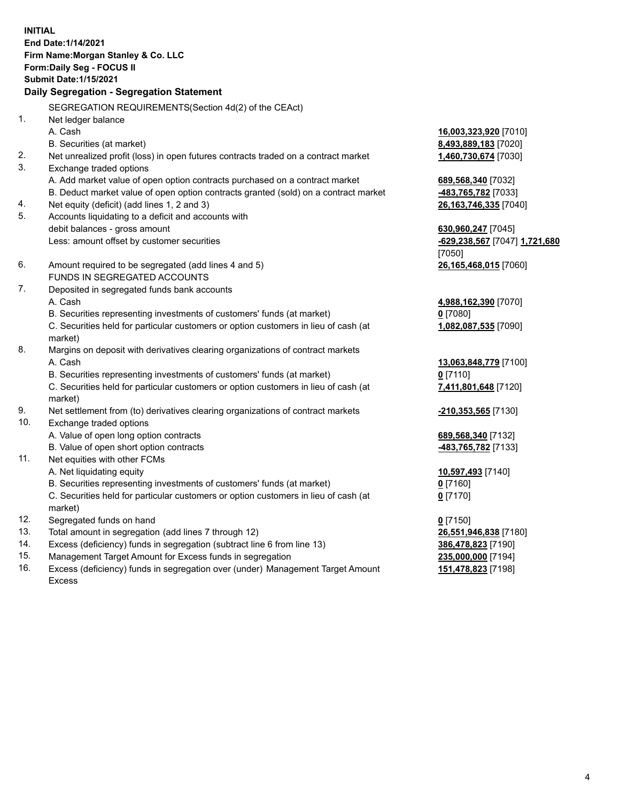**INITIAL End Date:1/14/2021 Firm Name:Morgan Stanley & Co. LLC Form:Daily Seg - FOCUS II Submit Date:1/15/2021 Daily Segregation - Segregation Statement** SEGREGATION REQUIREMENTS(Section 4d(2) of the CEAct) 1. Net ledger balance A. Cash **16,003,323,920** [7010] B. Securities (at market) **8,493,889,183** [7020] 2. Net unrealized profit (loss) in open futures contracts traded on a contract market **1,460,730,674** [7030] 3. Exchange traded options A. Add market value of open option contracts purchased on a contract market **689,568,340** [7032] B. Deduct market value of open option contracts granted (sold) on a contract market **-483,765,782** [7033] 4. Net equity (deficit) (add lines 1, 2 and 3) **26,163,746,335** [7040] 5. Accounts liquidating to a deficit and accounts with debit balances - gross amount **630,960,247** [7045] Less: amount offset by customer securities **-629,238,567** [7047] **1,721,680** [7050] 6. Amount required to be segregated (add lines 4 and 5) **26,165,468,015** [7060] FUNDS IN SEGREGATED ACCOUNTS 7. Deposited in segregated funds bank accounts A. Cash **4,988,162,390** [7070] B. Securities representing investments of customers' funds (at market) **0** [7080] C. Securities held for particular customers or option customers in lieu of cash (at market) **1,082,087,535** [7090] 8. Margins on deposit with derivatives clearing organizations of contract markets A. Cash **13,063,848,779** [7100] B. Securities representing investments of customers' funds (at market) **0** [7110] C. Securities held for particular customers or option customers in lieu of cash (at market) **7,411,801,648** [7120] 9. Net settlement from (to) derivatives clearing organizations of contract markets **-210,353,565** [7130] 10. Exchange traded options A. Value of open long option contracts **689,568,340** [7132] B. Value of open short option contracts **-483,765,782** [7133] 11. Net equities with other FCMs A. Net liquidating equity **10,597,493** [7140] B. Securities representing investments of customers' funds (at market) **0** [7160] C. Securities held for particular customers or option customers in lieu of cash (at market) **0** [7170] 12. Segregated funds on hand **0** [7150] 13. Total amount in segregation (add lines 7 through 12) **26,551,946,838** [7180] 14. Excess (deficiency) funds in segregation (subtract line 6 from line 13) **386,478,823** [7190] 15. Management Target Amount for Excess funds in segregation **235,000,000** [7194]

16. Excess (deficiency) funds in segregation over (under) Management Target Amount Excess

**151,478,823** [7198]